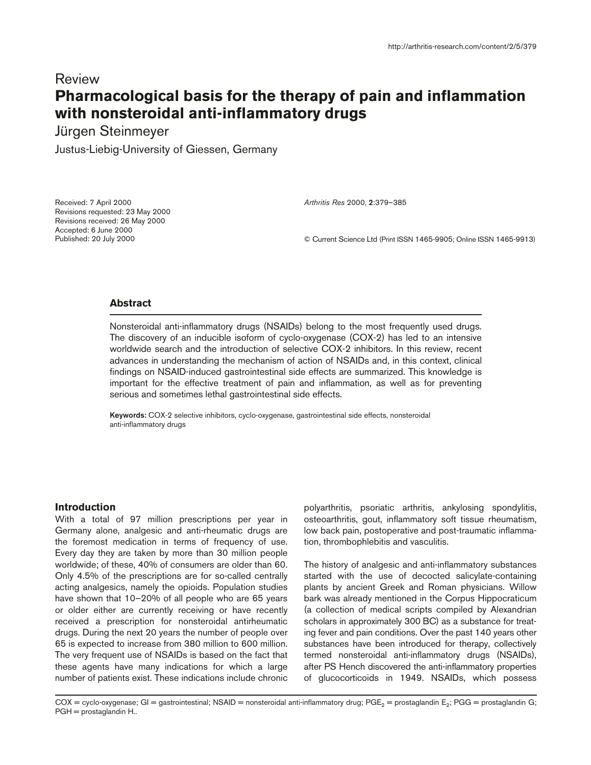# Review **Pharmacological basis for the therapy of pain and inflammation with nonsteroidal anti-inflammatory drugs**

Jürgen Steinmeyer

Justus-Liebig-University of Giessen, Germany

Received: 7 April 2000 Revisions requested: 23 May 2000 Revisions received: 26 May 2000 Accepted: 6 June 2000 Published: 20 July 2000

*Arthritis Res* 2000, **2**:379–385

© Current Science Ltd (Print ISSN 1465-9905; Online ISSN 1465-9913)

# **Abstract**

Nonsteroidal anti-inflammatory drugs (NSAIDs) belong to the most frequently used drugs. The discovery of an inducible isoform of cyclo-oxygenase (COX-2) has led to an intensive worldwide search and the introduction of selective COX-2 inhibitors. In this review, recent advances in understanding the mechanism of action of NSAIDs and, in this context, clinical findings on NSAID-induced gastrointestinal side effects are summarized. This knowledge is important for the effective treatment of pain and inflammation, as well as for preventing serious and sometimes lethal gastrointestinal side effects.

**Keywords:** COX-2 selective inhibitors, cyclo-oxygenase, gastrointestinal side effects, nonsteroidal anti-inflammatory drugs

## **Introduction**

With a total of 97 million prescriptions per year in Germany alone, analgesic and anti-rheumatic drugs are the foremost medication in terms of frequency of use. Every day they are taken by more than 30 million people worldwide; of these, 40% of consumers are older than 60. Only 4.5% of the prescriptions are for so-called centrally acting analgesics, namely the opioids. Population studies have shown that 10–20% of all people who are 65 years or older either are currently receiving or have recently received a prescription for nonsteroidal antirheumatic drugs. During the next 20 years the number of people over 65 is expected to increase from 380 million to 600 million. The very frequent use of NSAIDs is based on the fact that these agents have many indications for which a large number of patients exist. These indications include chronic

polyarthritis, psoriatic arthritis, ankylosing spondylitis, osteoarthritis, gout, inflammatory soft tissue rheumatism, low back pain, postoperative and post-traumatic inflammation, thrombophlebitis and vasculitis.

The history of analgesic and anti-inflammatory substances started with the use of decocted salicylate-containing plants by ancient Greek and Roman physicians. Willow bark was already mentioned in the Corpus Hippocraticum (a collection of medical scripts compiled by Alexandrian scholars in approximately 300 BC) as a substance for treating fever and pain conditions. Over the past 140 years other substances have been introduced for therapy, collectively termed nonsteroidal anti-inflammatory drugs (NSAIDs), after PS Hench discovered the anti-inflammatory properties of glucocorticoids in 1949. NSAIDs, which possess

 $COX = cyclo-oxy$ genase; GI = gastrointestinal; NSAID = nonsteroidal anti-inflammatory drug; PGE<sub>2</sub> = prostaglandin E<sub>2</sub>; PGG = prostaglandin G; PGH = prostaglandin H..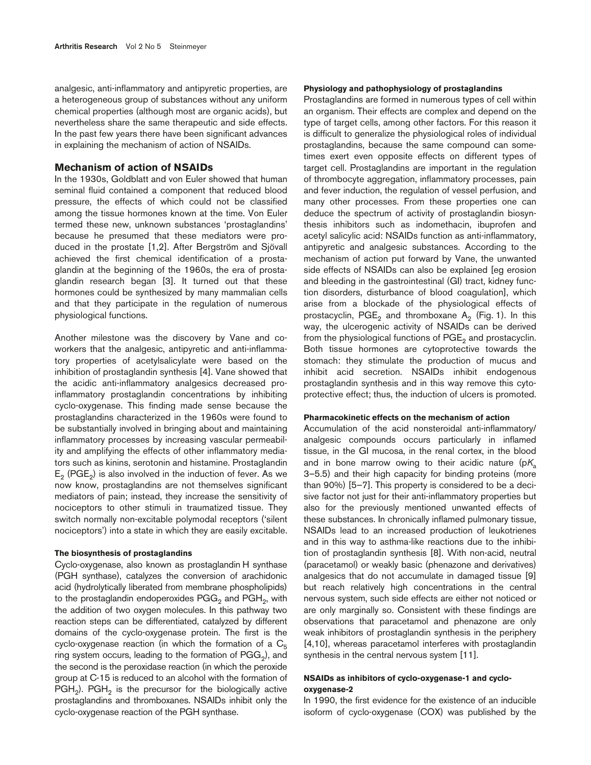analgesic, anti-inflammatory and antipyretic properties, are a heterogeneous group of substances without any uniform chemical properties (although most are organic acids), but nevertheless share the same therapeutic and side effects. In the past few years there have been significant advances in explaining the mechanism of action of NSAIDs.

# **Mechanism of action of NSAIDs**

In the 1930s, Goldblatt and von Euler showed that human seminal fluid contained a component that reduced blood pressure, the effects of which could not be classified among the tissue hormones known at the time. Von Euler termed these new, unknown substances 'prostaglandins' because he presumed that these mediators were produced in the prostate [1,2]. After Bergström and Sjövall achieved the first chemical identification of a prostaglandin at the beginning of the 1960s, the era of prostaglandin research began [3]. It turned out that these hormones could be synthesized by many mammalian cells and that they participate in the regulation of numerous physiological functions.

Another milestone was the discovery by Vane and coworkers that the analgesic, antipyretic and anti-inflammatory properties of acetylsalicylate were based on the inhibition of prostaglandin synthesis [4]. Vane showed that the acidic anti-inflammatory analgesics decreased proinflammatory prostaglandin concentrations by inhibiting cyclo-oxygenase. This finding made sense because the prostaglandins characterized in the 1960s were found to be substantially involved in bringing about and maintaining inflammatory processes by increasing vascular permeability and amplifying the effects of other inflammatory mediators such as kinins, serotonin and histamine. Prostaglandin  $E<sub>2</sub>$  (PGE<sub>2</sub>) is also involved in the induction of fever. As we now know, prostaglandins are not themselves significant mediators of pain; instead, they increase the sensitivity of nociceptors to other stimuli in traumatized tissue. They switch normally non-excitable polymodal receptors ('silent nociceptors') into a state in which they are easily excitable.

## **The biosynthesis of prostaglandins**

Cyclo-oxygenase, also known as prostaglandin H synthase (PGH synthase), catalyzes the conversion of arachidonic acid (hydrolytically liberated from membrane phospholipids) to the prostaglandin endoperoxides  $PGG<sub>2</sub>$  and  $PGH<sub>2</sub>$ , with the addition of two oxygen molecules. In this pathway two reaction steps can be differentiated, catalyzed by different domains of the cyclo-oxygenase protein. The first is the cyclo-oxygenase reaction (in which the formation of a  $C_5$ ring system occurs, leading to the formation of  $PGG<sub>2</sub>$ ), and the second is the peroxidase reaction (in which the peroxide group at C-15 is reduced to an alcohol with the formation of  $PGH<sub>2</sub>$ ). PGH<sub>2</sub> is the precursor for the biologically active prostaglandins and thromboxanes. NSAIDs inhibit only the cyclo-oxygenase reaction of the PGH synthase.

#### **Physiology and pathophysiology of prostaglandins**

Prostaglandins are formed in numerous types of cell within an organism. Their effects are complex and depend on the type of target cells, among other factors. For this reason it is difficult to generalize the physiological roles of individual prostaglandins, because the same compound can sometimes exert even opposite effects on different types of target cell. Prostaglandins are important in the regulation of thrombocyte aggregation, inflammatory processes, pain and fever induction, the regulation of vessel perfusion, and many other processes. From these properties one can deduce the spectrum of activity of prostaglandin biosynthesis inhibitors such as indomethacin, ibuprofen and acetyl salicylic acid: NSAIDs function as anti-inflammatory, antipyretic and analgesic substances. According to the mechanism of action put forward by Vane, the unwanted side effects of NSAIDs can also be explained [eg erosion and bleeding in the gastrointestinal (GI) tract, kidney function disorders, disturbance of blood coagulation], which arise from a blockade of the physiological effects of prostacyclin,  $PGE_2$  and thromboxane A<sub>2</sub> (Fig. 1). In this way, the ulcerogenic activity of NSAIDs can be derived from the physiological functions of  $PGE<sub>2</sub>$  and prostacyclin. Both tissue hormones are cytoprotective towards the stomach: they stimulate the production of mucus and inhibit acid secretion. NSAIDs inhibit endogenous prostaglandin synthesis and in this way remove this cytoprotective effect; thus, the induction of ulcers is promoted.

#### **Pharmacokinetic effects on the mechanism of action**

Accumulation of the acid nonsteroidal anti-inflammatory/ analgesic compounds occurs particularly in inflamed tissue, in the GI mucosa, in the renal cortex, in the blood and in bone marrow owing to their acidic nature ( $pK_a$ 3–5.5) and their high capacity for binding proteins (more than 90%) [5–7]. This property is considered to be a decisive factor not just for their anti-inflammatory properties but also for the previously mentioned unwanted effects of these substances. In chronically inflamed pulmonary tissue, NSAIDs lead to an increased production of leukotrienes and in this way to asthma-like reactions due to the inhibition of prostaglandin synthesis [8]. With non-acid, neutral (paracetamol) or weakly basic (phenazone and derivatives) analgesics that do not accumulate in damaged tissue [9] but reach relatively high concentrations in the central nervous system, such side effects are either not noticed or are only marginally so. Consistent with these findings are observations that paracetamol and phenazone are only weak inhibitors of prostaglandin synthesis in the periphery [4,10], whereas paracetamol interferes with prostaglandin synthesis in the central nervous system [11].

# **NSAIDs as inhibitors of cyclo-oxygenase-1 and cyclooxygenase-2**

In 1990, the first evidence for the existence of an inducible isoform of cyclo-oxygenase (COX) was published by the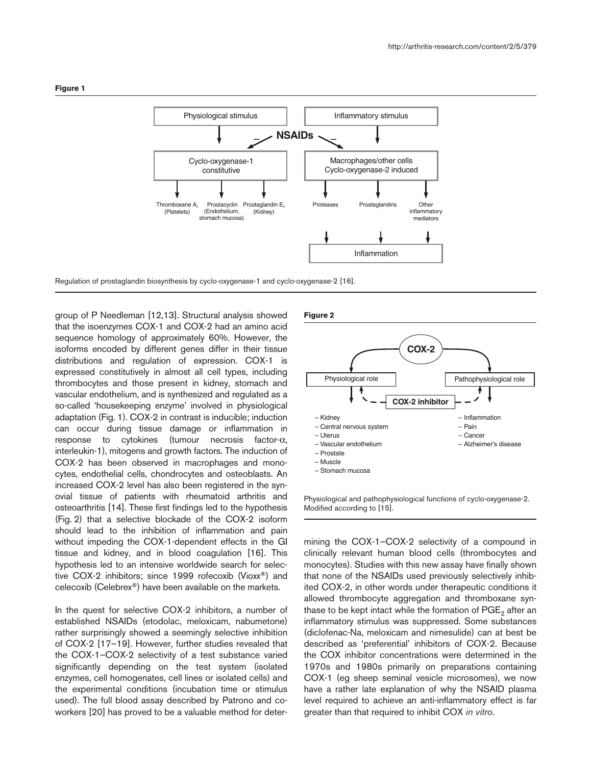

Regulation of prostaglandin biosynthesis by cyclo-oxygenase-1 and cyclo-oxygenase-2 [16].

group of P Needleman [12,13]. Structural analysis showed that the isoenzymes COX-1 and COX-2 had an amino acid sequence homology of approximately 60%. However, the isoforms encoded by different genes differ in their tissue distributions and regulation of expression. COX-1 is expressed constitutively in almost all cell types, including thrombocytes and those present in kidney, stomach and vascular endothelium, and is synthesized and regulated as a so-called 'housekeeping enzyme' involved in physiological adaptation (Fig. 1). COX-2 in contrast is inducible; induction can occur during tissue damage or inflammation in response to cytokines (tumour necrosis factor-α, interleukin-1), mitogens and growth factors. The induction of COX-2 has been observed in macrophages and monocytes, endothelial cells, chondrocytes and osteoblasts. An increased COX-2 level has also been registered in the synovial tissue of patients with rheumatoid arthritis and osteoarthritis [14]. These first findings led to the hypothesis (Fig. 2) that a selective blockade of the COX-2 isoform should lead to the inhibition of inflammation and pain without impeding the COX-1-dependent effects in the GI tissue and kidney, and in blood coagulation [16]. This hypothesis led to an intensive worldwide search for selective COX-2 inhibitors; since 1999 rofecoxib (Vioxx®) and celecoxib (Celebrex®) have been available on the markets.

In the quest for selective COX-2 inhibitors, a number of established NSAIDs (etodolac, meloxicam, nabumetone) rather surprisingly showed a seemingly selective inhibition of COX-2 [17–19]. However, further studies revealed that the COX-1–COX-2 selectivity of a test substance varied significantly depending on the test system (isolated enzymes, cell homogenates, cell lines or isolated cells) and the experimental conditions (incubation time or stimulus used). The full blood assay described by Patrono and coworkers [20] has proved to be a valuable method for deter-

#### **Figure 2**



Physiological and pathophysiological functions of cyclo-oxygenase-2. Modified according to [15].

mining the COX-1–COX-2 selectivity of a compound in clinically relevant human blood cells (thrombocytes and monocytes). Studies with this new assay have finally shown that none of the NSAIDs used previously selectively inhibited COX-2, in other words under therapeutic conditions it allowed thrombocyte aggregation and thromboxane synthase to be kept intact while the formation of  $PGE<sub>2</sub>$  after an inflammatory stimulus was suppressed. Some substances (diclofenac-Na, meloxicam and nimesulide) can at best be described as 'preferential' inhibitors of COX-2. Because the COX inhibitor concentrations were determined in the 1970s and 1980s primarily on preparations containing COX-1 (eg sheep seminal vesicle microsomes), we now have a rather late explanation of why the NSAID plasma level required to achieve an anti-inflammatory effect is far greater than that required to inhibit COX *in vitro*.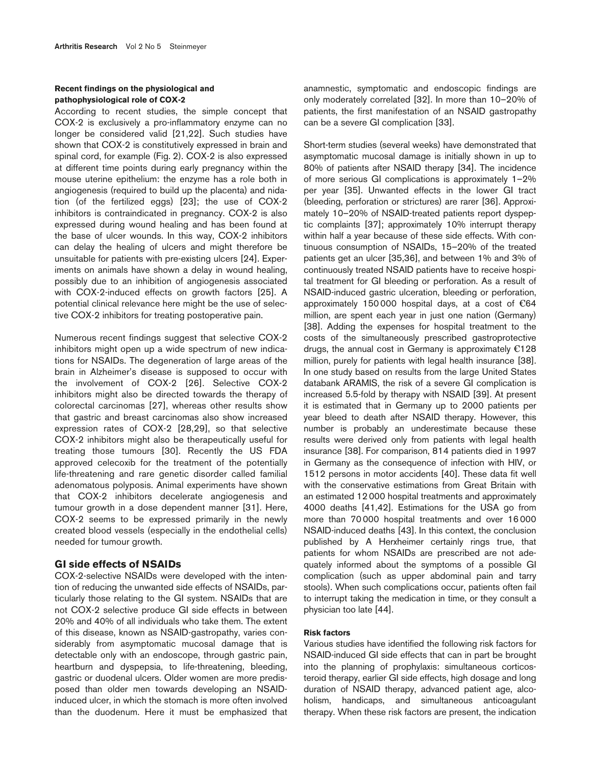## **Recent findings on the physiological and pathophysiological role of COX-2**

According to recent studies, the simple concept that COX-2 is exclusively a pro-inflammatory enzyme can no longer be considered valid [21,22]. Such studies have shown that COX-2 is constitutively expressed in brain and spinal cord, for example (Fig. 2). COX-2 is also expressed at different time points during early pregnancy within the mouse uterine epithelium: the enzyme has a role both in angiogenesis (required to build up the placenta) and nidation (of the fertilized eggs) [23]; the use of COX-2 inhibitors is contraindicated in pregnancy. COX-2 is also expressed during wound healing and has been found at the base of ulcer wounds. In this way, COX-2 inhibitors can delay the healing of ulcers and might therefore be unsuitable for patients with pre-existing ulcers [24]. Experiments on animals have shown a delay in wound healing, possibly due to an inhibition of angiogenesis associated with COX-2-induced effects on growth factors [25]. A potential clinical relevance here might be the use of selective COX-2 inhibitors for treating postoperative pain.

Numerous recent findings suggest that selective COX-2 inhibitors might open up a wide spectrum of new indications for NSAIDs. The degeneration of large areas of the brain in Alzheimer's disease is supposed to occur with the involvement of COX-2 [26]. Selective COX-2 inhibitors might also be directed towards the therapy of colorectal carcinomas [27], whereas other results show that gastric and breast carcinomas also show increased expression rates of COX-2 [28,29], so that selective COX-2 inhibitors might also be therapeutically useful for treating those tumours [30]. Recently the US FDA approved celecoxib for the treatment of the potentially life-threatening and rare genetic disorder called familial adenomatous polyposis. Animal experiments have shown that COX-2 inhibitors decelerate angiogenesis and tumour growth in a dose dependent manner [31]. Here, COX-2 seems to be expressed primarily in the newly created blood vessels (especially in the endothelial cells) needed for tumour growth.

# **GI side effects of NSAIDs**

COX-2-selective NSAIDs were developed with the intention of reducing the unwanted side effects of NSAIDs, particularly those relating to the GI system. NSAIDs that are not COX-2 selective produce GI side effects in between 20% and 40% of all individuals who take them. The extent of this disease, known as NSAID-gastropathy, varies considerably from asymptomatic mucosal damage that is detectable only with an endoscope, through gastric pain, heartburn and dyspepsia, to life-threatening, bleeding, gastric or duodenal ulcers. Older women are more predisposed than older men towards developing an NSAIDinduced ulcer, in which the stomach is more often involved than the duodenum. Here it must be emphasized that

anamnestic, symptomatic and endoscopic findings are only moderately correlated [32]. In more than 10–20% of patients, the first manifestation of an NSAID gastropathy can be a severe GI complication [33].

Short-term studies (several weeks) have demonstrated that asymptomatic mucosal damage is initially shown in up to 80% of patients after NSAID therapy [34]. The incidence of more serious GI complications is approximately 1–2% per year [35]. Unwanted effects in the lower GI tract (bleeding, perforation or strictures) are rarer [36]. Approximately 10–20% of NSAID-treated patients report dyspeptic complaints [37]; approximately 10% interrupt therapy within half a year because of these side effects. With continuous consumption of NSAIDs, 15–20% of the treated patients get an ulcer [35,36], and between 1% and 3% of continuously treated NSAID patients have to receive hospital treatment for GI bleeding or perforation. As a result of NSAID-induced gastric ulceration, bleeding or perforation, approximately 150000 hospital days, at a cost of  $\epsilon$ 64 million, are spent each year in just one nation (Germany) [38]. Adding the expenses for hospital treatment to the costs of the simultaneously prescribed gastroprotective drugs, the annual cost in Germany is approximately  $E128$ million, purely for patients with legal health insurance [38]. In one study based on results from the large United States databank ARAMIS, the risk of a severe GI complication is increased 5.5-fold by therapy with NSAID [39]. At present it is estimated that in Germany up to 2000 patients per year bleed to death after NSAID therapy. However, this number is probably an underestimate because these results were derived only from patients with legal health insurance [38]. For comparison, 814 patients died in 1997 in Germany as the consequence of infection with HIV, or 1512 persons in motor accidents [40]. These data fit well with the conservative estimations from Great Britain with an estimated 12000 hospital treatments and approximately 4000 deaths [41,42]. Estimations for the USA go from more than 70000 hospital treatments and over 16000 NSAID-induced deaths [43]. In this context, the conclusion published by A Herxheimer certainly rings true, that patients for whom NSAIDs are prescribed are not adequately informed about the symptoms of a possible GI complication (such as upper abdominal pain and tarry stools). When such complications occur, patients often fail to interrupt taking the medication in time, or they consult a physician too late [44].

#### **Risk factors**

Various studies have identified the following risk factors for NSAID-induced GI side effects that can in part be brought into the planning of prophylaxis: simultaneous corticosteroid therapy, earlier GI side effects, high dosage and long duration of NSAID therapy, advanced patient age, alcoholism, handicaps, and simultaneous anticoagulant therapy. When these risk factors are present, the indication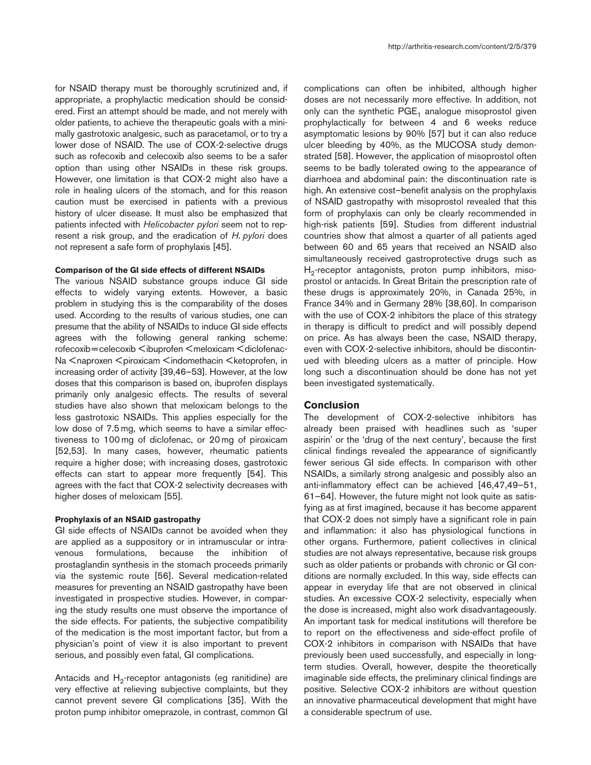for NSAID therapy must be thoroughly scrutinized and, if appropriate, a prophylactic medication should be considered. First an attempt should be made, and not merely with older patients, to achieve the therapeutic goals with a minimally gastrotoxic analgesic, such as paracetamol, or to try a lower dose of NSAID. The use of COX-2-selective drugs such as rofecoxib and celecoxib also seems to be a safer option than using other NSAIDs in these risk groups. However, one limitation is that COX-2 might also have a role in healing ulcers of the stomach, and for this reason caution must be exercised in patients with a previous history of ulcer disease. It must also be emphasized that patients infected with *Helicobacter pylori* seem not to represent a risk group, and the eradication of *H. pylori* does not represent a safe form of prophylaxis [45].

## **Comparison of the GI side effects of different NSAIDs**

The various NSAID substance groups induce GI side effects to widely varying extents. However, a basic problem in studying this is the comparability of the doses used. According to the results of various studies, one can presume that the ability of NSAIDs to induce GI side effects agrees with the following general ranking scheme: rofecoxib=celecoxib <ibuprofen <meloxicam <diclofenac-Na <naproxen <piroxicam <indomethacin <ketoprofen, in increasing order of activity [39,46–53]. However, at the low doses that this comparison is based on, ibuprofen displays primarily only analgesic effects. The results of several studies have also shown that meloxicam belongs to the less gastrotoxic NSAIDs. This applies especially for the low dose of 7.5 mg, which seems to have a similar effectiveness to 100 mg of diclofenac, or 20 mg of piroxicam [52,53]. In many cases, however, rheumatic patients require a higher dose; with increasing doses, gastrotoxic effects can start to appear more frequently [54]. This agrees with the fact that COX-2 selectivity decreases with higher doses of meloxicam [55].

## **Prophylaxis of an NSAID gastropathy**

GI side effects of NSAIDs cannot be avoided when they are applied as a suppository or in intramuscular or intravenous formulations, because the inhibition of prostaglandin synthesis in the stomach proceeds primarily via the systemic route [56]. Several medication-related measures for preventing an NSAID gastropathy have been investigated in prospective studies. However, in comparing the study results one must observe the importance of the side effects. For patients, the subjective compatibility of the medication is the most important factor, but from a physician's point of view it is also important to prevent serious, and possibly even fatal, GI complications.

Antacids and  $H_2$ -receptor antagonists (eg ranitidine) are very effective at relieving subjective complaints, but they cannot prevent severe GI complications [35]. With the proton pump inhibitor omeprazole, in contrast, common GI complications can often be inhibited, although higher doses are not necessarily more effective. In addition, not only can the synthetic  $PGE_1$  analogue misoprostol given prophylactically for between 4 and 6 weeks reduce asymptomatic lesions by 90% [57] but it can also reduce ulcer bleeding by 40%, as the MUCOSA study demonstrated [58]. However, the application of misoprostol often seems to be badly tolerated owing to the appearance of diarrhoea and abdominal pain: the discontinuation rate is high. An extensive cost–benefit analysis on the prophylaxis of NSAID gastropathy with misoprostol revealed that this form of prophylaxis can only be clearly recommended in high-risk patients [59]. Studies from different industrial countries show that almost a quarter of all patients aged between 60 and 65 years that received an NSAID also simultaneously received gastroprotective drugs such as  $H_2$ -receptor antagonists, proton pump inhibitors, misoprostol or antacids. In Great Britain the prescription rate of these drugs is approximately 20%, in Canada 25%, in France 34% and in Germany 28% [38,60]. In comparison with the use of COX-2 inhibitors the place of this strategy in therapy is difficult to predict and will possibly depend on price. As has always been the case, NSAID therapy, even with COX-2-selective inhibitors, should be discontinued with bleeding ulcers as a matter of principle. How long such a discontinuation should be done has not yet been investigated systematically.

## **Conclusion**

The development of COX-2-selective inhibitors has already been praised with headlines such as 'super aspirin' or the 'drug of the next century', because the first clinical findings revealed the appearance of significantly fewer serious GI side effects. In comparison with other NSAIDs, a similarly strong analgesic and possibly also an anti-inflammatory effect can be achieved [46,47,49–51, 61–64]. However, the future might not look quite as satisfying as at first imagined, because it has become apparent that COX-2 does not simply have a significant role in pain and inflammation: it also has physiological functions in other organs. Furthermore, patient collectives in clinical studies are not always representative, because risk groups such as older patients or probands with chronic or GI conditions are normally excluded. In this way, side effects can appear in everyday life that are not observed in clinical studies. An excessive COX-2 selectivity, especially when the dose is increased, might also work disadvantageously. An important task for medical institutions will therefore be to report on the effectiveness and side-effect profile of COX-2 inhibitors in comparison with NSAIDs that have previously been used successfully, and especially in longterm studies. Overall, however, despite the theoretically imaginable side effects, the preliminary clinical findings are positive. Selective COX-2 inhibitors are without question an innovative pharmaceutical development that might have a considerable spectrum of use.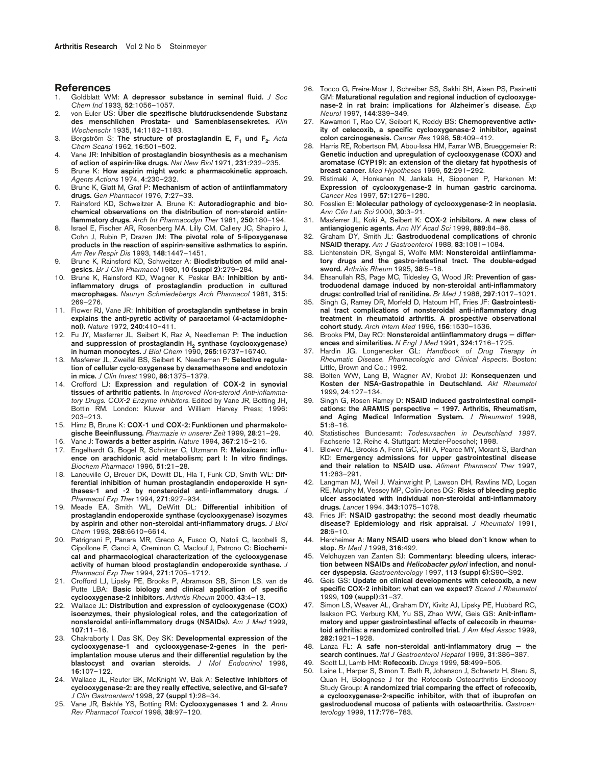#### **References**

- 1. Goldblatt WM: **A depressor substance in seminal fluid.** *J Soc Chem Ind* 1933, **52**:1056–1057.
- 2. von Euler US: **Über die spezifische blutdrucksendende Substanz des menschlichen Prostata- und Samenblasensekretes.** *Klin Wochenschr* 1935, **14**:1182–1183.
- 3. Bergström S: The structure of prostaglandin E, F<sub>1</sub> und F<sub>2</sub>. Acta *Chem Scand* 1962, **16**:501–502.
- 4. Vane JR: **Inhibition of prostaglandin biosynthesis as a mechanism of action of aspirin-like drugs.** *Nat New Biol* 1971, **231**:232–235.
- 5 Brune K: **How aspirin might work: a pharmacokinetic approach.** *Agents Actions* 1974, **4**:230–232.
- 6. Brune K, Glatt M, Graf P: **Mechanism of action of antiinflammatory drugs.** *Gen Pharmacol* 1976, **7**:27–33.
- 7. Rainsford KD, Schweitzer A, Brune K: **Autoradiographic and biochemical observations on the distribution of non-steroid antiinflammatory drugs.** *Arch Int Pharmacodyn Ther* 1981, **250**:180–194.
- 8. Israel E, Fischer AR, Rosenberg MA, Lilly CM, Callery JC, Shapiro J, Cohn J, Rubin P, Drazen JM: **The pivotal role of 5-lipoxygenase products in the reaction of aspirin-sensitive asthmatics to aspirin.** *Am Rev Respir Dis* 1993, **148**:1447–1451.
- 9. Brune K, Rainsford KD, Schweitzer A: **Biodistribution of mild analgesics.** *Br J Clin Pharmacol* 1980, **10 (suppl 2)**:279–284.
- 10. Brune K, Rainsford KD, Wagner K, Peskar BA: **Inhibition by antiinflammatory drugs of prostaglandin production in cultured macrophages.** *Naunyn Schmiedebergs Arch Pharmacol* 1981, **315**: 269–276.
- 11. Flower RJ, Vane JR: **Inhibition of prostaglandin synthetase in brain explains the anti-pyretic activity of paracetamol (4-actamidophenol).** *Nature* 1972, **240**:410–411.
- 12. Fu JY, Masferrer JL, Seibert K, Raz A, Needleman P: **The induction** and suppression of prostaglandin H<sub>2</sub> synthase (cyclooxygenase) **in human monocytes.** *J Biol Chem* 1990, **265**:16737–16740.
- 13. Masferrer JL, Zweifel BS, Seibert K, Needleman P: **Selective regulation of cellular cyclo-oxygenase by dexamethasone and endotoxin in mice.** *J Clin Invest* 1990, **86**:1375–1379.
- 14. Crofford LJ: **Expression and regulation of COX-2 in synovial tissues of arthritic patients.** In *Improved Non-steroid Anti-inflammatory Drugs. COX-2 Enzyme Inhibitors*. Edited by Vane JR, Botting JH, Bottin RM. London: Kluwer and William Harvey Press; 1996: 203–213.
- 15. Himz B, Brune K: **COX-1 und COX-2: Funktionen und pharmakologische Beeinflussung.** *Pharmazie in unserer Zeit* 1999, **28**:21–29.
- 16. Vane J: **Towards a better aspirin.** *Nature* 1994, **367**:215–216.
- 17. Engelhardt G, Bogel R, Schnitzer C, Utzmann R: **Meloxicam: influence on arachidonic acid metabolism; part I: In vitro findings.** *Biochem Pharmacol* 1996, **51**:21–28.
- 18. Laneuville O, Breuer DK, Dewitt DL, Hla T, Funk CD, Smith WL: **Differential inhibition of human prostaglandin endoperoxide H synthases-1 and -2 by nonsteroidal anti-inflammatory drugs.** *J Pharmacol Exp Ther* 1994, **271**:927–934.
- 19. Meade EA, Smith WL, DeWitt DL: **Differential inhibition of prostaglandin endoperoxide synthase (cyclooxygenase) isozymes by aspirin and other non-steroidal anti-inflammatory drugs.** *J Biol Chem* 1993, **268**:6610–6614.
- 20. Patrignani P, Panara MR, Greco A, Fusco O, Natoli C, Iacobelli S, Cipollone F, Ganci A, Creminon C, Maclouf J, Patrono C: **Biochemical and pharmacological characterization of the cyclooxygenase activity of human blood prostaglandin endoperoxide synthase.** *J Pharmacol Exp Ther* 1994, **271**:1705–1712.
- 21. Crofford LJ, Lipsky PE, Brooks P, Abramson SB, Simon LS, van de Putte LBA: **Basic biology and clinical application of specific cyclooxygenase-2 inhibitors.** *Arthritis Rheum* 2000, **43**:4–13.
- 22. Wallace JL: **Distribution and expression of cyclooxygenase (COX) isoenzymes, their physiological roles, and the categorization of nonsteroidal anti-inflammatory drugs (NSAIDs).** *Am J Med* 1999, **107**:11–16.
- 23. Chakraborty I, Das SK, Dey SK: **Developmental expression of the cyclooxygenase-1 and cyclooxygenase-2-genes in the periimplantation mouse uterus and their differential regulation by the blastocyst and ovarian steroids.** *J Mol Endocrinol* 1996, **16**:107–122.
- 24. Wallace JL, Reuter BK, McKnight W, Bak A: **Selective inhibitors of cyclooxygenase-2: are they really effective, selective, and GI-safe?** *J Clin Gastroenterol* 1998, **27 (suppl 1)**:28–34.
- 25. Vane JR, Bakhle YS, Botting RM: **Cyclooxygenases 1 and 2.** *Annu Rev Pharmacol Toxicol* 1998, **38**:97–120.
- 26. Tocco G, Freire-Moar J, Schreiber SS, Sakhi SH, Aisen PS, Pasinetti GM: **Maturational regulation and regional induction of cyclooxygenase-2 in rat brain: implications for Alzheimer´s disease.** *Exp Neurol* 1997, **144**:339–349.
- 27. Kawamori T, Rao CV, Seibert K, Reddy BS: **Chemopreventive activity of celecoxib, a specific cyclooxygenase-2 inhibitor, against colon carcinogenesis.** *Cancer Res* 1998, **58**:409–412.
- 28. Harris RE, Robertson FM, Abou-Issa HM, Farrar WB, Brueggemeier R: **Genetic induction and upregulation of cyclooxygenase (COX) and aromatase (CYP19): an extension of the dietary fat hypothesis of breast cancer.** *Med Hypotheses* 1999, **52**:291–292.
- 29. Ristimaki A, Honkanen N, Jankala H, Sipponen P, Harkonen M: **Expression of cyclooxygenase-2 in human gastric carcinoma.** *Cancer Res* 1997, **57**:1276–1280.
- 30. Fosslien E: **Molecular pathology of cyclooxygenase-2 in neoplasia.** *Ann Clin Lab Sci* 2000, **30**:3–21.
- 31. Masferrer JL, Koki A, Seibert K: **COX-2 inhibitors. A new class of antiangiogenic agents.** *Ann NY Acad Sci* 1999, **889**:84–86.
- 32. Graham DY, Smith JL: **Gastroduodenal complications of chronic NSAID therapy.** *Am J Gastroenterol* 1988, **83**:1081–1084.
- 33. Lichtenstein DR, Syngal S, Wolfe MM: **Nonsteroidal antiinflammatory drugs and the gastro-intestinal tract. The double-edged sword.** *Arthritis Rheum* 1995, **38**:5–18.
- 34. Ehsanullah RS, Page MC, Tildesley G, Wood JR: **Prevention of gastroduodenal damage induced by non-steroidal anti-inflammatory drugs: controlled trial of ranitidine.** *Br Med J* 1988, **297**:1017–1021.
- 35. Singh G, Ramey DR, Morfeld D, Hatoum HT, Fries JF: **Gastrointestinal tract complications of nonsteroidal anti-inflammatory drug treatment in rheumatoid arthritis. A prospective observational cohort study.** *Arch Intern Med* 1996, **156**:1530–1536.
- 36. Brooks PM, Day RO: **Nonsteroidal antiinflammatory drugs differences and similarities.** *N Engl J Med* 1991, **324**:1716–1725.
- 37. Hardin JG, Longenecker GL: *Handbook of Drug Therapy in Rheumatic Disease. Pharmacologic and Clinical Aspects.* Boston: Little, Brown and Co.; 1992.
- 38. Bolten WW, Lang B, Wagner AV, Krobot JJ: **Konsequenzen und Kosten der NSA-Gastropathie in Deutschland.** *Akt Rheumatol* 1999, **24**:127–134.
- 39. Singh G, Rosen Ramey D: **NSAID induced gastrointestinal complications: the ARAMIS perspective — 1997. Arthritis, Rheumatism, and Aging Medical Information System.** *J Rheumatol* 1998, **51**:8–16.
- 40. Statistisches Bundesamt: *Todesursachen in Deutschland 1997*. Fachserie 12, Reihe 4. Stuttgart: Metzler-Poeschel; 1998.
- 41. Blower AL, Brooks A, Fenn GC, Hill A, Pearce MY, Morant S, Bardhan KD: **Emergency admissions for upper gastrointestinal disease and their relation to NSAID use.** *Aliment Pharmacol Ther* 1997, **11**:283–291.
- 42. Langman MJ, Weil J, Wainwright P, Lawson DH, Rawlins MD, Logan RE, Murphy M, Vessey MP, Colin-Jones DG: **Risks of bleeding peptic ulcer associated with individual non-steroidal anti-inflammatory drugs.** *Lancet* 1994, **343**:1075–1078.
- 43. Fries JF: **NSAID gastropathy: the second most deadly rheumatic disease? Epidemiology and risk appraisal.** *J Rheumatol* 1991, **28**:6–10.
- 44. Herxheimer A: **Many NSAID users who bleed don´t know when to stop.** *Br Med J* 1998, **316**:492.
- 45. Veldhuyzen van Zanten SJ: **Commentary: bleeding ulcers, interaction between NSAIDs and** *Helicobacter pylori* **infection, and nonulcer dyspepsia.** *Gastroenterology* 1997, **113 (suppl 6)**:S90–S92.
- 46. Geis GS: **Update on clinical developments with celecoxib, a new specific COX-2 inhibitor: what can we expect?** *Scand J Rheumatol* 1999, **109 (suppl)**:31–37.
- 47. Simon LS, Weaver AL, Graham DY, Kivitz AJ, Lipsky PE, Hubbard RC, Isakson PC, Verburg KM, Yu SS, Zhao WW, Geis GS: **Anit-inflammatory and upper gastrointestinal effects of celecoxib in rheumatoid arthritis: a randomized controlled trial.** *J Am Med Assoc* 1999, **282**:1921–1928.
- 48. Lanza FL: **A safe non-steroidal anti-inflammatory drug the search continues.** *Ital J Gastroenterol Hepatol* 1999, **31**:386–387.
- 49. Scott LJ, Lamb HM: **Rofecoxib.** *Drugs* 1999, **58**:499–505.
- 50. Laine L, Harper S, Simon T, Bath R, Johanson J, Schwartz H, Steru S, Quan H, Bolognese J for the Rofecoxib Osteoarthritis Endoscopy Study Group: **A randomized trial comparing the effect of rofecoxib, a cyclooxygenase-2-specific inhibitor, with that of ibuprofen on gastroduodenal mucosa of patients with osteoarthritis.** *Gastroenterology* 1999, **117**:776–783.